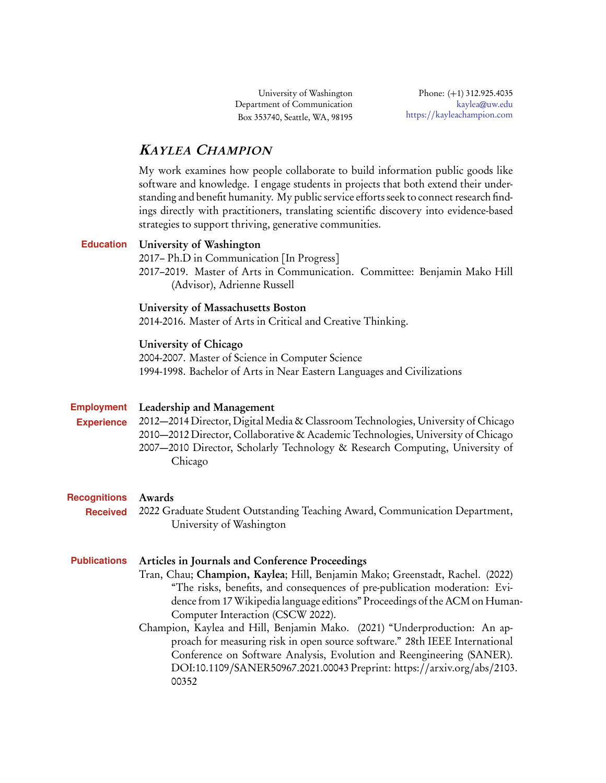University of Washington Department of Communication Box 353740, Seattle, WA, 98195

# KAYLEA CHAMPION

My work examines how people collaborate to build information public goods like software and knowledge. I engage students in projects that both extend their understanding and benefit humanity. My public service efforts seek to connect research findings directly with practitioners, translating scientific discovery into evidence-based strategies to support thriving, generative communities.

# **Education** University of Washington

2017– Ph.D in Communication [In Progress] 2017–2019. Master of Arts in Communication. Committee: Benjamin Mako Hill (Advisor), Adrienne Russell

# University of Massachusetts Boston

2014-2016. Master of Arts in Critical and Creative Thinking.

# University of Chicago

2004-2007. Master of Science in Computer Science 1994-1998. Bachelor of Arts in Near Eastern Languages and Civilizations

#### **Employment** Leadership and Management

**Experience**

2012—2014 Director, Digital Media & Classroom Technologies, University of Chicago 2010—2012 Director, Collaborative & Academic Technologies, University of Chicago 2007—2010 Director, Scholarly Technology & Research Computing, University of Chicago

#### **Recognitions** Awards

**Received** 2022 Graduate Student Outstanding Teaching Award, Communication Department, University of Washington

# **Publications** Articles in Journals and Conference Proceedings

Tran, Chau; Champion, Kaylea; Hill, Benjamin Mako; Greenstadt, Rachel. (2022) "The risks, benefits, and consequences of pre-publication moderation: Evidence from 17Wikipedia language editions" Proceedings of the ACM on Human-Computer Interaction (CSCW 2022).

Champion, Kaylea and Hill, Benjamin Mako. (2021) "Underproduction: An approach for measuring risk in open source software." 28th IEEE International Conference on Software Analysis, Evolution and Reengineering (SANER). DOI:10.1109/[SANER50967.2021.00043](DOI:10.1109/SANER50967.2021.00043) Preprint: https://[arxiv.org](https://arxiv.org/abs/2103.00352)/abs/2103. [00352](https://arxiv.org/abs/2103.00352)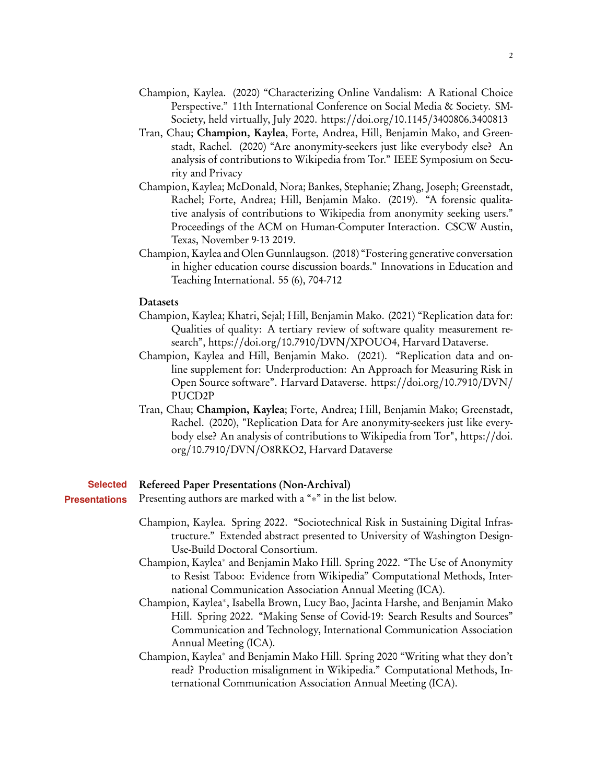- Champion, Kaylea. (2020) "Characterizing Online Vandalism: A Rational Choice Perspective." 11th International Conference on Social Media & Society. SM-Society, held virtually, July 2020. https://doi.org/10.1145/[3400806.3400813](https://doi.org/10.1145/3400806.3400813)
- Tran, Chau; Champion, Kaylea, Forte, Andrea, Hill, Benjamin Mako, and Greenstadt, Rachel. (2020) "Are anonymity-seekers just like everybody else? An analysis of contributions to Wikipedia from Tor." IEEE Symposium on Security and Privacy
- Champion, Kaylea; McDonald, Nora; Bankes, Stephanie; Zhang, Joseph; Greenstadt, Rachel; Forte, Andrea; Hill, Benjamin Mako. (2019). "A forensic qualitative analysis of contributions to Wikipedia from anonymity seeking users." Proceedings of the ACM on Human-Computer Interaction. CSCW Austin, Texas, November 9-13 2019.
- Champion, Kaylea and Olen Gunnlaugson. (2018) "Fostering generative conversation in higher education course discussion boards." Innovations in Education and Teaching International. 55 (6), 704-712

#### **Datasets**

- Champion, Kaylea; Khatri, Sejal; Hill, Benjamin Mako. (2021) "Replication data for: Qualities of quality: A tertiary review of software quality measurement research", https://doi.org/10.7910/DVN/[XPOUO4,](https://doi.org/10.7910/DVN/XPOUO4) Harvard Dataverse.
- Champion, Kaylea and Hill, Benjamin Mako. (2021). "Replication data and online supplement for: Underproduction: An Approach for Measuring Risk in Open Source software". Harvard Dataverse. https://doi.org/[10.7910](https://doi.org/10.7910/DVN/PUCD2P)/DVN/ [PUCD2P](https://doi.org/10.7910/DVN/PUCD2P)
- Tran, Chau; Champion, Kaylea; Forte, Andrea; Hill, Benjamin Mako; Greenstadt, Rachel. (2020), "Replication Data for Are anonymity-seekers just like everybody else? An analysis of contributions to Wikipedia from Tor", [https:](https://doi.org/10.7910/DVN/O8RKO2)//doi. org/10.7910/DVN/[O8RKO2,](https://doi.org/10.7910/DVN/O8RKO2) Harvard Dataverse

#### **Selected** Refereed Paper Presentations (Non-Archival)

- **Presentations** Presenting authors are marked with a "∗" in the list below.
	- Champion, Kaylea. Spring 2022. "Sociotechnical Risk in Sustaining Digital Infrastructure." Extended abstract presented to University of Washington Design-Use-Build Doctoral Consortium.
	- Champion, Kaylea<sup>∗</sup> and Benjamin Mako Hill. Spring 2022. "The Use of Anonymity to Resist Taboo: Evidence from Wikipedia" Computational Methods, International Communication Association Annual Meeting (ICA).
	- Champion, Kaylea<sup>∗</sup> , Isabella Brown, Lucy Bao, Jacinta Harshe, and Benjamin Mako Hill. Spring 2022. "Making Sense of Covid-19: Search Results and Sources" Communication and Technology, International Communication Association Annual Meeting (ICA).
	- Champion, Kaylea<sup>∗</sup> and Benjamin Mako Hill. Spring 2020 "Writing what they don't read? Production misalignment in Wikipedia." Computational Methods, International Communication Association Annual Meeting (ICA).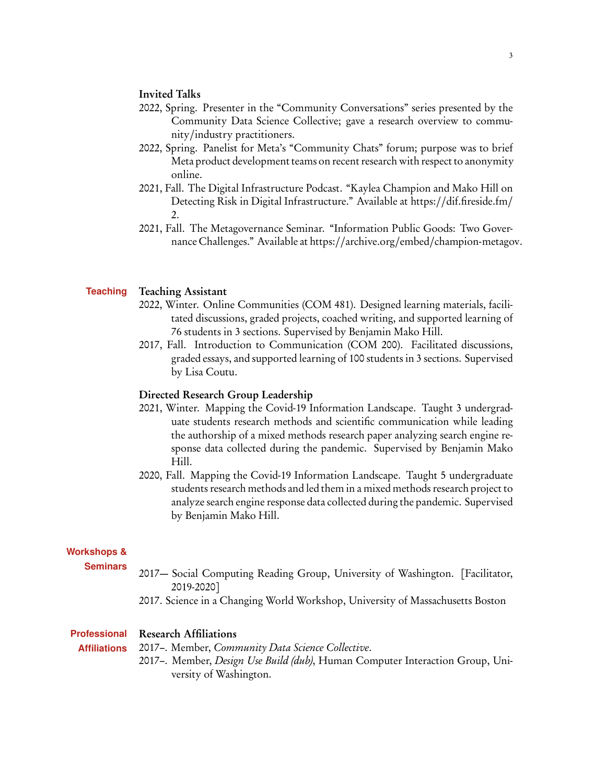# Invited Talks

- 2022, Spring. Presenter in the "Community Conversations" series presented by the Community Data Science Collective; gave a research overview to community/industry practitioners.
- 2022, Spring. Panelist for Meta's "Community Chats" forum; purpose was to brief Meta product development teams on recent research with respect to anonymity online.
- 2021, Fall. The Digital Infrastructure Podcast. "Kaylea Champion and Mako Hill on Detecting Risk in Digital Infrastructure." Available at https://[dif.fireside.fm](https://dif.fireside.fm/2)/ [2.](https://dif.fireside.fm/2)
- 2021, Fall. The Metagovernance Seminar. "Information Public Goods: Two Governance Challenges." Available at https://archive.org/embed/[champion-metagov.](https://archive.org/embed/champion-metagov)

#### **Teaching** Teaching Assistant

- 2022, Winter. Online Communities (COM 481). Designed learning materials, facilitated discussions, graded projects, coached writing, and supported learning of 76 students in 3 sections. Supervised by Benjamin Mako Hill.
- 2017, Fall. Introduction to Communication (COM 200). Facilitated discussions, graded essays, and supported learning of 100 students in 3 sections. Supervised by Lisa Coutu.

### Directed Research Group Leadership

- 2021, Winter. Mapping the Covid-19 Information Landscape. Taught 3 undergraduate students research methods and scientific communication while leading the authorship of a mixed methods research paper analyzing search engine response data collected during the pandemic. Supervised by Benjamin Mako Hill.
- 2020, Fall. Mapping the Covid-19 Information Landscape. Taught 5 undergraduate students research methods and led them in a mixed methods research project to analyze search engine response data collected during the pandemic. Supervised by Benjamin Mako Hill.

#### **Workshops &**

- **Seminars** 2017— Social Computing Reading Group, University of Washington. [Facilitator, 2019-2020]
	- 2017. Science in a Changing World Workshop, University of Massachusetts Boston

#### **Professional** Research Affiliations

**Affiliations** 2017–. Member, Community Data Science Collective.

> 2017–. Member, Design Use Build (dub), Human Computer Interaction Group, University of Washington.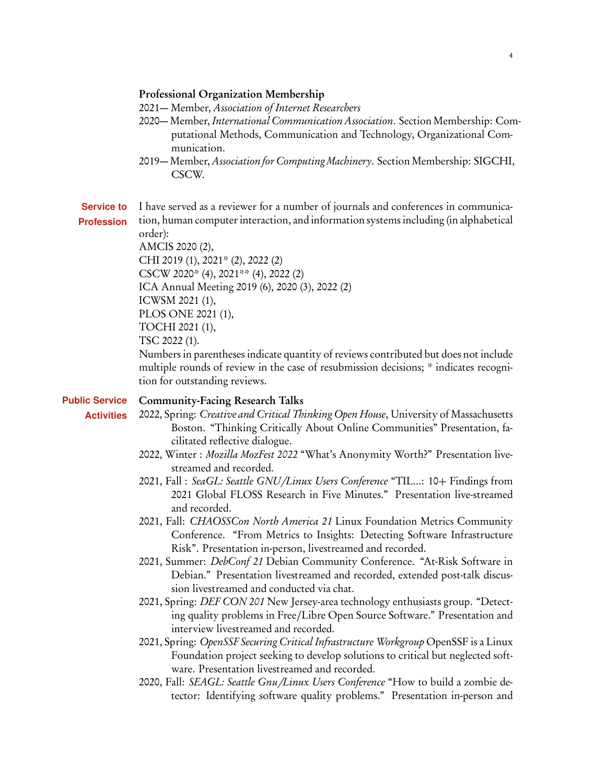### Professional Organization Membership

- 2021— Member, Association of Internet Researchers
- 2020— Member, International Communication Association. Section Membership: Computational Methods, Communication and Technology, Organizational Communication.
- 2019— Member, Association for Computing Machinery. Section Membership: SIGCHI, CSCW.
- **Service to** I have served as a reviewer for a number of journals and conferences in communica-
- **Profession** tion, human computer interaction, and information systems including (in alphabetical order):

AMCIS 2020 (2), CHI 2019 (1), 2021\* (2), 2022 (2) CSCW 2020\* (4), 2021\*\* (4), 2022 (2) ICA Annual Meeting 2019 (6), 2020 (3), 2022 (2) ICWSM 2021 (1), PLOS ONE 2021 (1), TOCHI 2021 (1), TSC 2022 (1).

Numbers in parentheses indicate quantity of reviews contributed but does not include multiple rounds of review in the case of resubmission decisions; \* indicates recognition for outstanding reviews.

- **Public Service Activities** Community-Facing Research Talks 2022, Spring: Creative and Critical Thinking Open House, University of Massachusetts Boston. "Thinking Critically About Online Communities" Presentation, facilitated reflective dialogue. 2022, Winter : Mozilla MozFest 2022 "What's Anonymity Worth?" Presentation livestreamed and recorded. 2021, Fall : SeaGL: Seattle GNU*/*Linux Users Conference "TIL...: 10+ Findings from 2021 Global FLOSS Research in Five Minutes." Presentation live-streamed and recorded. 2021, Fall: CHAOSSCon North America 21 Linux Foundation Metrics Community Conference. "From Metrics to Insights: Detecting Software Infrastructure Risk". Presentation in-person, livestreamed and recorded. 2021, Summer: *DebConf 21* Debian Community Conference. "At-Risk Software in Debian." Presentation livestreamed and recorded, extended post-talk discussion livestreamed and conducted via chat. 2021, Spring: DEF CON 201 New Jersey-area technology enthusiasts group. "Detecting quality problems in Free/Libre Open Source Software." Presentation and interview livestreamed and recorded. 2021, Spring: OpenSSF Securing Critical Infrastructure Workgroup OpenSSF is a Linux
	- Foundation project seeking to develop solutions to critical but neglected software. Presentation livestreamed and recorded.
	- 2020, Fall: SEAGL: Seattle Gnu*/*Linux Users Conference "How to build a zombie detector: Identifying software quality problems." Presentation in-person and